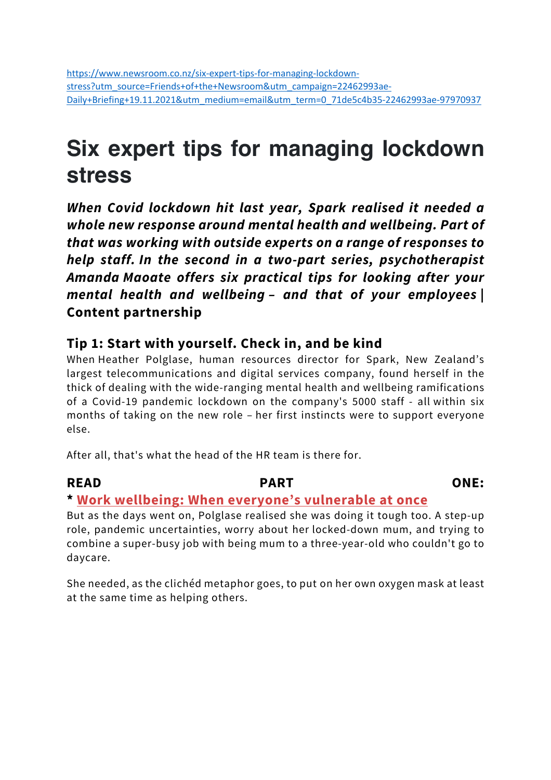# **Six expert tips for managing lockdown stress**

*When Covid lockdown hit last year, Spark realised it needed a whole new response around mental health and wellbeing. Part of that was working with outside experts on a range of responses to help staff. In the second in a two-part series, psychotherapist Amanda Maoate offers six practical tips for looking after your mental health and wellbeing – and that of your employees* **| Content partnership**

#### **Tip 1: Start with yourself. Check in, and be kind**

When Heather Polglase, human resources director for Spark, New Zealand's largest telecommunications and digital services company, found herself in the thick of dealing with the wide-ranging mental health and wellbeing ramifications of a Covid-19 pandemic lockdown on the company's 5000 staff - all within six months of taking on the new role – her first instincts were to support everyone else.

After all, that's what the head of the HR team is there for.

#### **READ PART ONE:**

#### **\* Work wellbeing: When everyone's vulnerable at once**

But as the days went on, Polglase realised she was doing it tough too. A step-up role, pandemic uncertainties, worry about her locked-down mum, and trying to combine a super-busy job with being mum to a three-year-old who couldn't go to daycare.

She needed, as the clichéd metaphor goes, to put on her own oxygen mask at least at the same time as helping others.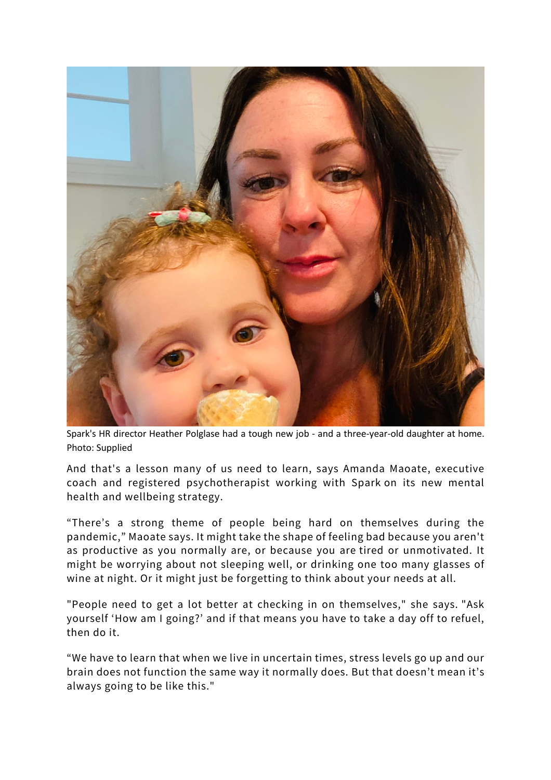

Spark's HR director Heather Polglase had a tough new job - and a three-year-old daughter at home. Photo: Supplied

And that's a lesson many of us need to learn, says Amanda Maoate, executive coach and registered psychotherapist working with Spark on its new mental health and wellbeing strategy.

"There's a strong theme of people being hard on themselves during the pandemic," Maoate says. It might take the shape of feeling bad because you aren't as productive as you normally are, or because you are tired or unmotivated. It might be worrying about not sleeping well, or drinking one too many glasses of wine at night. Or it might just be forgetting to think about your needs at all.

"People need to get a lot better at checking in on themselves," she says. "Ask yourself 'How am I going?' and if that means you have to take a day off to refuel, then do it.

"We have to learn that when we live in uncertain times, stress levels go up and our brain does not function the same way it normally does. But that doesn't mean it's always going to be like this."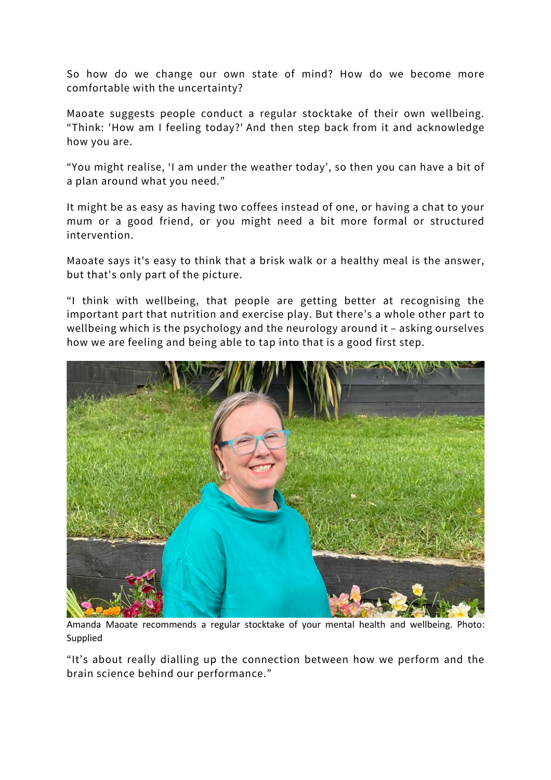So how do we change our own state of mind? How do we become more comfortable with the uncertainty?

Maoate suggests people conduct a regular stocktake of their own wellbeing. "Think: 'How am I feeling today?' And then step back from it and acknowledge how you are.

"You might realise, 'I am under the weather today', so then you can have a bit of a plan around what you need."

It might be as easy as having two coffees instead of one, or having a chat to your mum or a good friend, or you might need a bit more formal or structured intervention.

Maoate says it's easy to think that a brisk walk or a healthy meal is the answer, but that's only part of the picture.

"I think with wellbeing, that people are getting better at recognising the important part that nutrition and exercise play. But there's a whole other part to wellbeing which is the psychology and the neurology around it – asking ourselves how we are feeling and being able to tap into that is a good first step.



Amanda Maoate recommends a regular stocktake of your mental health and wellbeing. Photo: Supplied

"It's about really dialling up the connection between how we perform and the brain science behind our performance."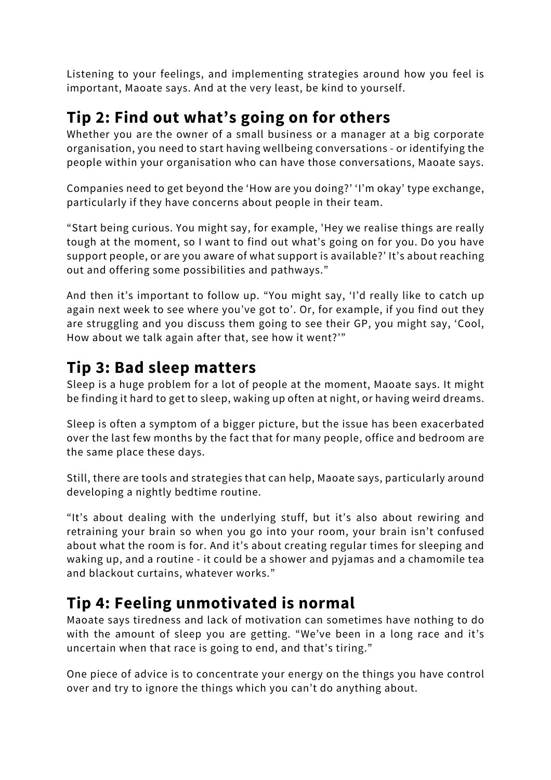Listening to your feelings, and implementing strategies around how you feel is important, Maoate says. And at the very least, be kind to yourself.

## **Tip 2: Find out what's going on for others**

Whether you are the owner of a small business or a manager at a big corporate organisation, you need to start having wellbeing conversations - or identifying the people within your organisation who can have those conversations, Maoate says.

Companies need to get beyond the 'How are you doing?' 'I'm okay' type exchange, particularly if they have concerns about people in their team.

"Start being curious. You might say, for example, 'Hey we realise things are really tough at the moment, so I want to find out what's going on for you. Do you have support people, or are you aware of what support is available?' It's about reaching out and offering some possibilities and pathways."

And then it's important to follow up. "You might say, 'I'd really like to catch up again next week to see where you've got to'. Or, for example, if you find out they are struggling and you discuss them going to see their GP, you might say, 'Cool, How about we talk again after that, see how it went?'"

### **Tip 3: Bad sleep matters**

Sleep is a huge problem for a lot of people at the moment, Maoate says. It might be finding it hard to get to sleep, waking up often at night, or having weird dreams.

Sleep is often a symptom of a bigger picture, but the issue has been exacerbated over the last few months by the fact that for many people, office and bedroom are the same place these days.

Still, there are tools and strategies that can help, Maoate says, particularly around developing a nightly bedtime routine.

"It's about dealing with the underlying stuff, but it's also about rewiring and retraining your brain so when you go into your room, your brain isn't confused about what the room is for. And it's about creating regular times for sleeping and waking up, and a routine - it could be a shower and pyjamas and a chamomile tea and blackout curtains, whatever works."

## **Tip 4: Feeling unmotivated is normal**

Maoate says tiredness and lack of motivation can sometimes have nothing to do with the amount of sleep you are getting. "We've been in a long race and it's uncertain when that race is going to end, and that's tiring."

One piece of advice is to concentrate your energy on the things you have control over and try to ignore the things which you can't do anything about.